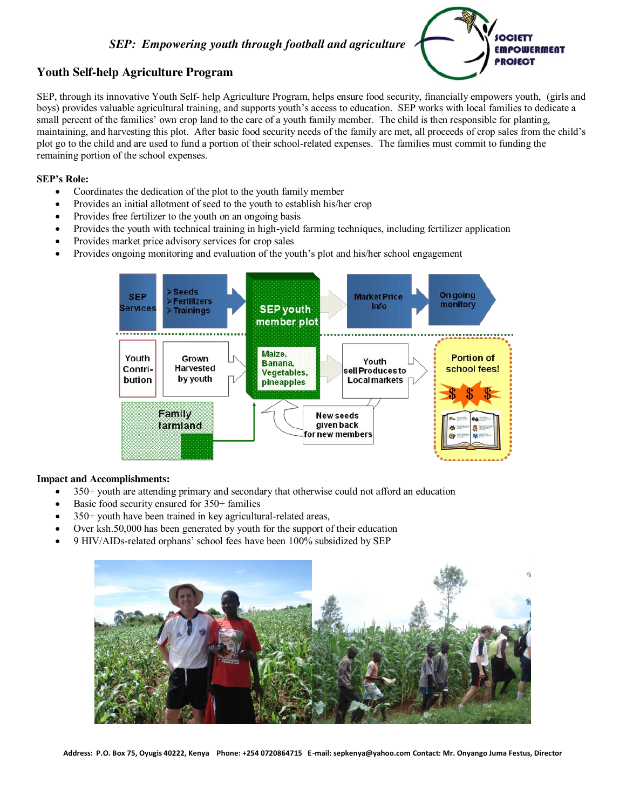## *SEP: Empowering youth through football and agriculture*



# **Youth Self-help Agriculture Program**

SEP, through its innovative Youth Self- help Agriculture Program, helps ensure food security, financially empowers youth, (girls and boys) provides valuable agricultural training, and supports youth's access to education. SEP works with local families to dedicate a small percent of the families' own crop land to the care of a youth family member. The child is then responsible for planting, maintaining, and harvesting this plot. After basic food security needs of the family are met, all proceeds of crop sales from the child's plot go to the child and are used to fund a portion of their school-related expenses. The families must commit to funding the remaining portion of the school expenses.

### **SEP's Role:**

- Coordinates the dedication of the plot to the youth family member
- Provides an initial allotment of seed to the youth to establish his/her crop
- Provides free fertilizer to the youth on an ongoing basis
- Provides the youth with technical training in high-yield farming techniques, including fertilizer application
- Provides market price advisory services for crop sales
- Provides ongoing monitoring and evaluation of the youth's plot and his/her school engagement



#### **Impact and Accomplishments:**

- 350+ youth are attending primary and secondary that otherwise could not afford an education
- Basic food security ensured for 350+ families
- 350+ youth have been trained in key agricultural-related areas,
- Over ksh.50,000 has been generated by youth for the support of their education
- 9 HIV/AIDs-related orphans' school fees have been 100% subsidized by SEP